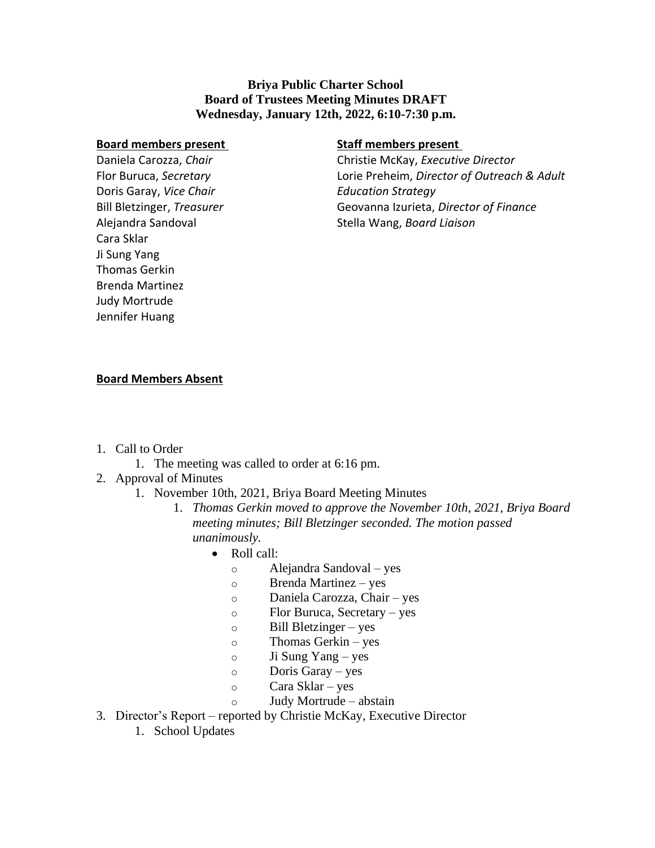## **Briya Public Charter School Board of Trustees Meeting Minutes DRAFT Wednesday, January 12th, 2022, 6:10-7:30 p.m.**

#### **Board members present**

Daniela Carozza, *Chair* Flor Buruca, *Secretary* Doris Garay, *Vice Chair* Bill Bletzinger, *Treasurer* Alejandra Sandoval Cara Sklar Ji Sung Yang Thomas Gerkin Brenda Martinez Judy Mortrude Jennifer Huang

## **Staff members present**

Christie McKay, *Executive Director* Lorie Preheim, *Director of Outreach & Adult Education Strategy* Geovanna Izurieta, *Director of Finance* Stella Wang, *Board Liaison*

## **Board Members Absent**

- 1. Call to Order
	- 1. The meeting was called to order at 6:16 pm.
- 2. Approval of Minutes
	- 1. November 10th, 2021, Briya Board Meeting Minutes
		- 1. *Thomas Gerkin moved to approve the November 10th, 2021, Briya Board meeting minutes; Bill Bletzinger seconded. The motion passed unanimously.*
			- Roll call:
				- o Alejandra Sandoval yes
				- o Brenda Martinez yes
				- o Daniela Carozza, Chair yes
				- o Flor Buruca, Secretary yes
				- o Bill Bletzinger yes
				- o Thomas Gerkin yes
				- o Ji Sung Yang yes
				- o Doris Garay yes
				- o Cara Sklar yes
				- o Judy Mortrude abstain
- 3. Director's Report reported by Christie McKay, Executive Director
	- 1. School Updates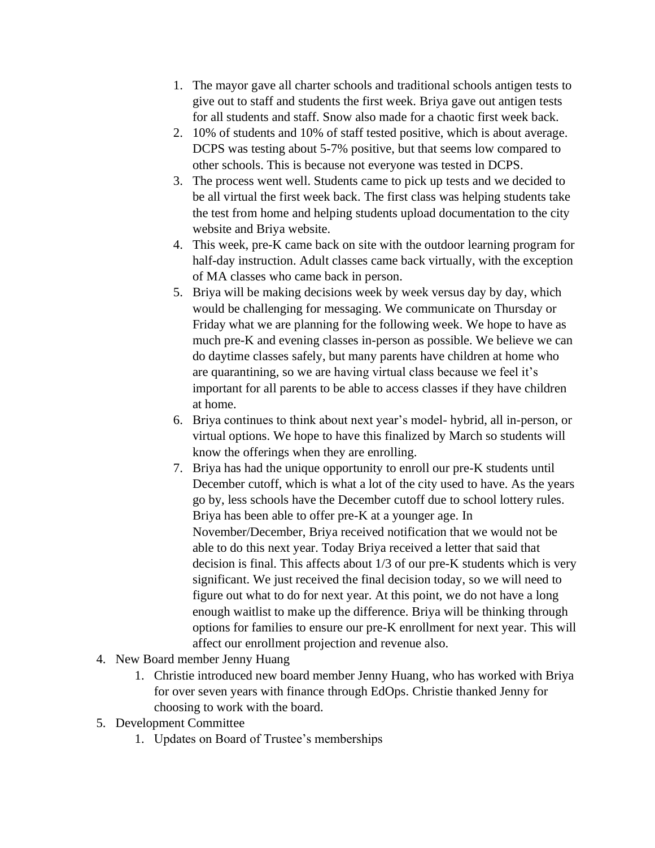- 1. The mayor gave all charter schools and traditional schools antigen tests to give out to staff and students the first week. Briya gave out antigen tests for all students and staff. Snow also made for a chaotic first week back.
- 2. 10% of students and 10% of staff tested positive, which is about average. DCPS was testing about 5-7% positive, but that seems low compared to other schools. This is because not everyone was tested in DCPS.
- 3. The process went well. Students came to pick up tests and we decided to be all virtual the first week back. The first class was helping students take the test from home and helping students upload documentation to the city website and Briya website.
- 4. This week, pre-K came back on site with the outdoor learning program for half-day instruction. Adult classes came back virtually, with the exception of MA classes who came back in person.
- 5. Briya will be making decisions week by week versus day by day, which would be challenging for messaging. We communicate on Thursday or Friday what we are planning for the following week. We hope to have as much pre-K and evening classes in-person as possible. We believe we can do daytime classes safely, but many parents have children at home who are quarantining, so we are having virtual class because we feel it's important for all parents to be able to access classes if they have children at home.
- 6. Briya continues to think about next year's model- hybrid, all in-person, or virtual options. We hope to have this finalized by March so students will know the offerings when they are enrolling.
- 7. Briya has had the unique opportunity to enroll our pre-K students until December cutoff, which is what a lot of the city used to have. As the years go by, less schools have the December cutoff due to school lottery rules. Briya has been able to offer pre-K at a younger age. In November/December, Briya received notification that we would not be able to do this next year. Today Briya received a letter that said that decision is final. This affects about 1/3 of our pre-K students which is very significant. We just received the final decision today, so we will need to figure out what to do for next year. At this point, we do not have a long enough waitlist to make up the difference. Briya will be thinking through options for families to ensure our pre-K enrollment for next year. This will affect our enrollment projection and revenue also.
- 4. New Board member Jenny Huang
	- 1. Christie introduced new board member Jenny Huang, who has worked with Briya for over seven years with finance through EdOps. Christie thanked Jenny for choosing to work with the board.
- 5. Development Committee
	- 1. Updates on Board of Trustee's memberships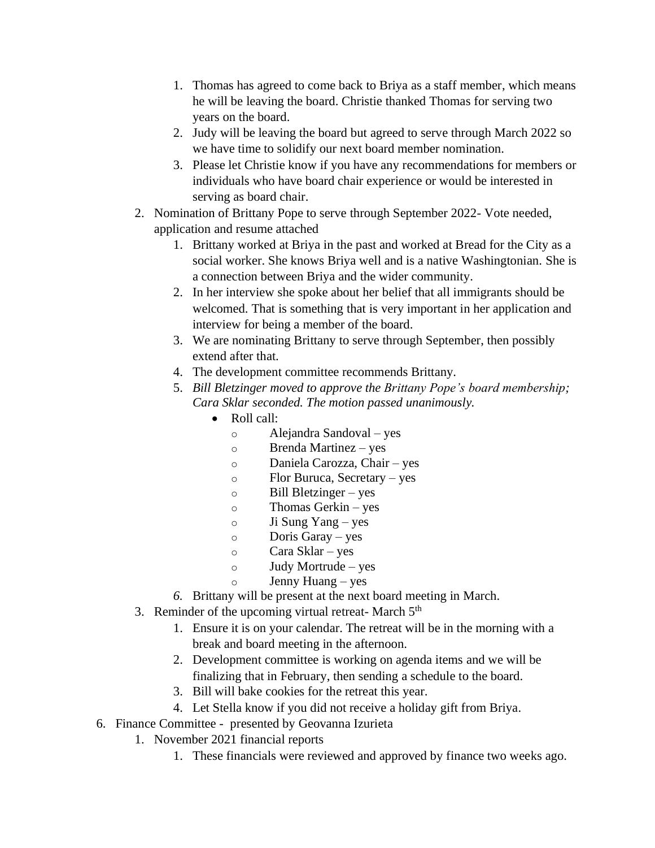- 1. Thomas has agreed to come back to Briya as a staff member, which means he will be leaving the board. Christie thanked Thomas for serving two years on the board.
- 2. Judy will be leaving the board but agreed to serve through March 2022 so we have time to solidify our next board member nomination.
- 3. Please let Christie know if you have any recommendations for members or individuals who have board chair experience or would be interested in serving as board chair.
- 2. Nomination of Brittany Pope to serve through September 2022- Vote needed, application and resume attached
	- 1. Brittany worked at Briya in the past and worked at Bread for the City as a social worker. She knows Briya well and is a native Washingtonian. She is a connection between Briya and the wider community.
	- 2. In her interview she spoke about her belief that all immigrants should be welcomed. That is something that is very important in her application and interview for being a member of the board.
	- 3. We are nominating Brittany to serve through September, then possibly extend after that.
	- 4. The development committee recommends Brittany.
	- 5. *Bill Bletzinger moved to approve the Brittany Pope's board membership; Cara Sklar seconded. The motion passed unanimously.*
		- Roll call:
			- o Alejandra Sandoval yes
			- o Brenda Martinez yes
			- o Daniela Carozza, Chair yes
			- o Flor Buruca, Secretary yes
			- o Bill Bletzinger yes
			- o Thomas Gerkin yes
			- o Ji Sung Yang yes
			- o Doris Garay yes
			- o Cara Sklar yes
			- o Judy Mortrude yes
			- o Jenny Huang yes
	- *6.* Brittany will be present at the next board meeting in March.
- 3. Reminder of the upcoming virtual retreat- March 5<sup>th</sup>
	- 1. Ensure it is on your calendar. The retreat will be in the morning with a break and board meeting in the afternoon.
	- 2. Development committee is working on agenda items and we will be finalizing that in February, then sending a schedule to the board.
	- 3. Bill will bake cookies for the retreat this year.
	- 4. Let Stella know if you did not receive a holiday gift from Briya.
- 6. Finance Committee presented by Geovanna Izurieta
	- 1. November 2021 financial reports
		- 1. These financials were reviewed and approved by finance two weeks ago.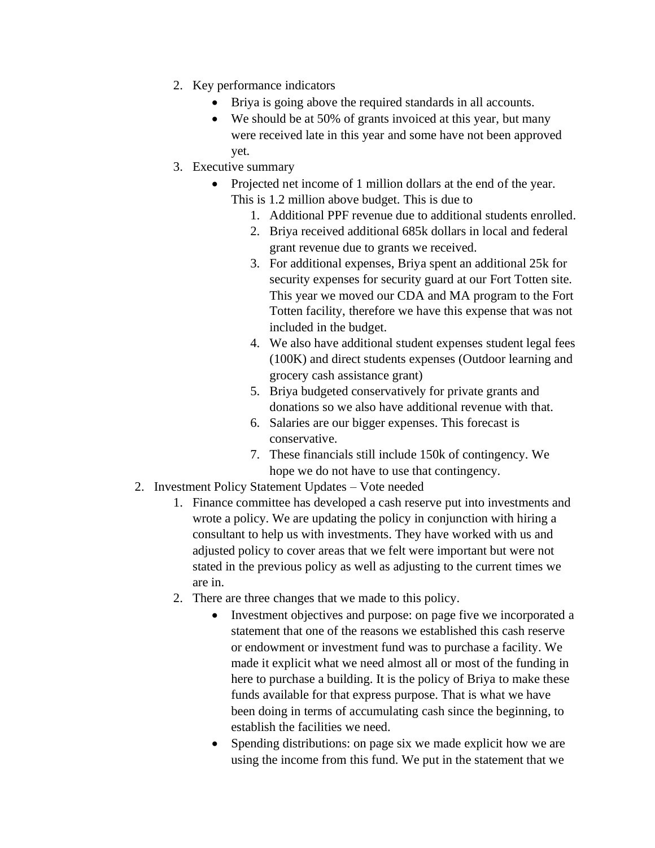- 2. Key performance indicators
	- Briya is going above the required standards in all accounts.
	- We should be at 50% of grants invoiced at this year, but many were received late in this year and some have not been approved yet.
- 3. Executive summary
	- Projected net income of 1 million dollars at the end of the year. This is 1.2 million above budget. This is due to
		- 1. Additional PPF revenue due to additional students enrolled.
		- 2. Briya received additional 685k dollars in local and federal grant revenue due to grants we received.
		- 3. For additional expenses, Briya spent an additional 25k for security expenses for security guard at our Fort Totten site. This year we moved our CDA and MA program to the Fort Totten facility, therefore we have this expense that was not included in the budget.
		- 4. We also have additional student expenses student legal fees (100K) and direct students expenses (Outdoor learning and grocery cash assistance grant)
		- 5. Briya budgeted conservatively for private grants and donations so we also have additional revenue with that.
		- 6. Salaries are our bigger expenses. This forecast is conservative.
		- 7. These financials still include 150k of contingency. We hope we do not have to use that contingency.
- 2. Investment Policy Statement Updates Vote needed
	- 1. Finance committee has developed a cash reserve put into investments and wrote a policy. We are updating the policy in conjunction with hiring a consultant to help us with investments. They have worked with us and adjusted policy to cover areas that we felt were important but were not stated in the previous policy as well as adjusting to the current times we are in.
	- 2. There are three changes that we made to this policy.
		- Investment objectives and purpose: on page five we incorporated a statement that one of the reasons we established this cash reserve or endowment or investment fund was to purchase a facility. We made it explicit what we need almost all or most of the funding in here to purchase a building. It is the policy of Briya to make these funds available for that express purpose. That is what we have been doing in terms of accumulating cash since the beginning, to establish the facilities we need.
		- Spending distributions: on page six we made explicit how we are using the income from this fund. We put in the statement that we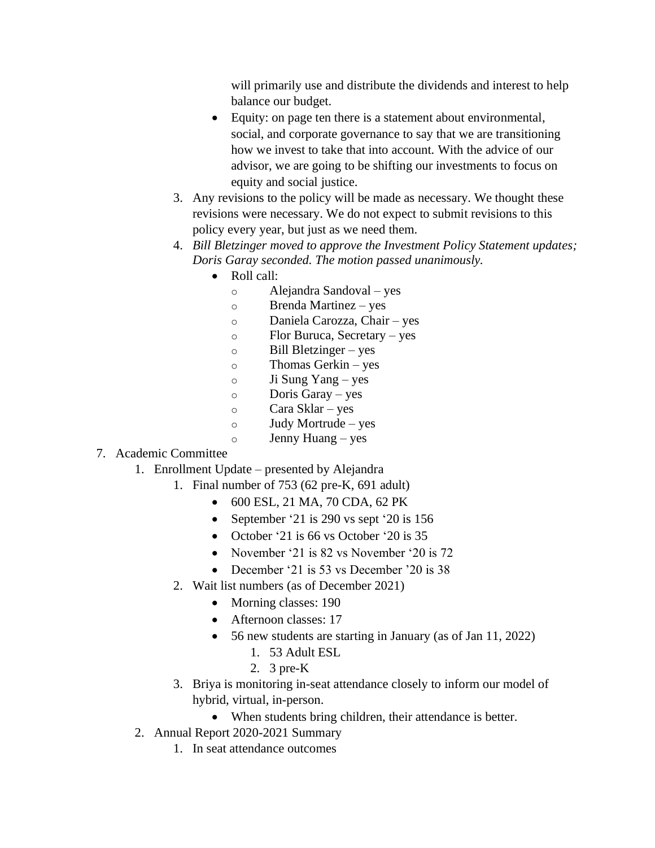will primarily use and distribute the dividends and interest to help balance our budget.

- Equity: on page ten there is a statement about environmental, social, and corporate governance to say that we are transitioning how we invest to take that into account. With the advice of our advisor, we are going to be shifting our investments to focus on equity and social justice.
- 3. Any revisions to the policy will be made as necessary. We thought these revisions were necessary. We do not expect to submit revisions to this policy every year, but just as we need them.
- 4. *Bill Bletzinger moved to approve the Investment Policy Statement updates; Doris Garay seconded. The motion passed unanimously.*
	- Roll call:
		- o Alejandra Sandoval yes
		- o Brenda Martinez yes
		- o Daniela Carozza, Chair yes
		- o Flor Buruca, Secretary yes
		- $\circ$  Bill Bletzinger yes
		- o Thomas Gerkin yes
		- o Ji Sung Yang yes
		- o Doris Garay yes
		- o Cara Sklar yes
		- o Judy Mortrude yes
		- o Jenny Huang yes

# 7. Academic Committee

- 1. Enrollment Update presented by Alejandra
	- 1. Final number of 753 (62 pre-K, 691 adult)
		- 600 ESL, 21 MA, 70 CDA, 62 PK
		- September '21 is 290 vs sept '20 is 156
		- October '21 is 66 vs October '20 is 35
		- November '21 is 82 vs November '20 is 72
		- December '21 is 53 vs December '20 is 38
	- 2. Wait list numbers (as of December 2021)
		- Morning classes: 190
		- Afternoon classes: 17
		- 56 new students are starting in January (as of Jan 11, 2022)
			- 1. 53 Adult ESL
			- 2. 3 pre-K
	- 3. Briya is monitoring in-seat attendance closely to inform our model of hybrid, virtual, in-person.
		- When students bring children, their attendance is better.
- 2. Annual Report 2020-2021 Summary
	- 1. In seat attendance outcomes